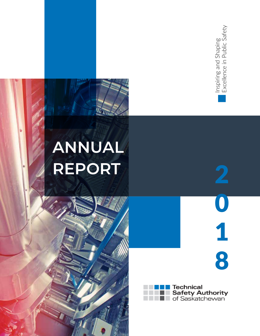# **ANNUAL REPORT**

**2010**<br>1010

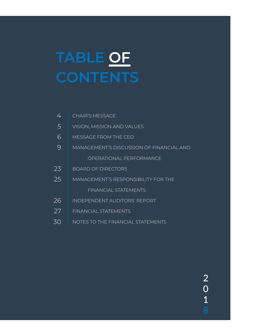# **TABLE OF CONTENTS**

| 4        | <b>CHAIR'S MESSAGE</b>                          |
|----------|-------------------------------------------------|
| 5        | <b>VISION, MISSION AND VALUES</b>               |
| 6        | MESSAGE FROM THE CEO                            |
| $\Theta$ | <b>MANAGEMENT'S DISCUSSION OF FINANCIAL AND</b> |
|          | OPERATIONAL PERFORMANCE                         |
| 23       | <b>BOARD OF DIRECTORS</b>                       |
| 25       | <b>MANAGEMENT'S RESPONSIBILITY FOR THE</b>      |
|          | <b>FINANCIAL STATEMENTS</b>                     |
| 26       | <b>INDEPENDENT AUDITORS' REPORT</b>             |
| 27       | <b>FINANCIAL STATEMENTS</b>                     |
| 30       | NOTES TO THE FINANCIAL STATEMENTS               |

2 0 1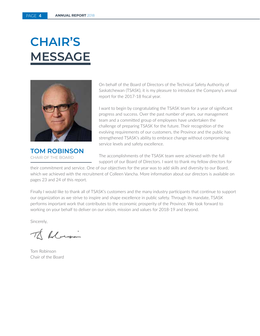## **CHAIR'S MESSAGE**



**TOM ROBINSON** CHAIR OF THE BOARD

On behalf of the Board of Directors of the Technical Safety Authority of Saskatchewan (TSASK), it is my pleasure to introduce the Company's annual report for the 2017-18 fiscal year.

I want to begin by congratulating the TSASK team for a year of significant progress and success. Over the past number of years, our management team and a committed group of employees have undertaken the challenge of preparing TSASK for the future. Their recognition of the evolving requirements of our customers, the Province and the public has strengthened TSASK's ability to embrace change without compromising service levels and safety excellence.

The accomplishments of the TSASK team were achieved with the full support of our Board of Directors. I want to thank my fellow directors for

their commitment and service. One of our objectives for the year was to add skills and diversity to our Board, which we achieved with the recruitment of Colleen Vancha. More information about our directors is available on pages 23 and 24 of this report.

Finally I would like to thank all of TSASK's customers and the many industry participants that continue to support our organization as we strive to inspire and shape excellence in public safety. Through its mandate, TSASK performs important work that contributes to the economic prosperity of the Province. We look forward to working on your behalf to deliver on our vision, mission and values for 2018-19 and beyond.

Sincerely,

The believes

Tom Robinson Chair of the Board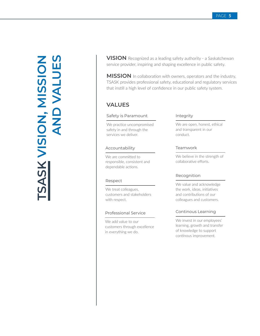**t**<u>ທ</u> **ask vision, mission and Value s**

**VISION** Recognized as a leading safety authority - a Saskatchewan service provider, inspiring and shaping excellence in public safety.

**MISSION** In collaboration with owners, operators and the industry, TSASK provides professional safety, educational and regulatory services that instill a high level of confidence in our public safety system.

### **values**

### Safety is Paramount

We practice uncompromised safety in and through the services we deliver.

### Accountability

We are committed to responsible, consistent and dependable actions.

### Respect

We treat colleagues, customers and stakeholders with respect.

#### Professional Service

We add value to our customers through excellence in everything we do.

### Integrity

We are open, honest, ethical and transparent in our conduct.

### Teamwork

We believe in the strength of collaborative efforts.

### Recognition

We value and acknowledge the work, ideas, initiatives and contributions of our colleagues and customers.

### Continous Learning

We invest in our employees' learning, growth and transfer of knowledge to support continous improvement.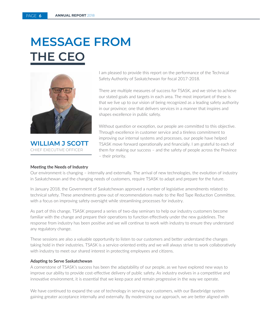## **Message from the ceo**



**william j scott** Chief executive officer

I am pleased to provide this report on the performance of the Technical Safety Authority of Saskatchewan for fiscal 2017-2018.

There are multiple measures of success for TSASK, and we strive to achieve our stated goals and targets in each area. The most important of these is that we live up to our vision of being recognized as a leading safety authority in our province; one that delivers services in a manner that inspires and shapes excellence in public safety.

Without question or exception, our people are committed to this objective. Through excellence in customer service and a tireless commitment to improving our internal systems and processes, our people have helped TSASK move forward operationally and financially. I am grateful to each of them for making our success – and the safety of people across the Province – their priority.

### **Meeting the Needs of Industry**

Our environment is changing – internally and externally. The arrival of new technologies, the evolution of industry in Saskatchewan and the changing needs of customers, require TSASK to adapt and prepare for the future.

In January 2018, the Government of Saskatchewan approved a number of legislative amendments related to technical safety. These amendments grew out of recommendations made to the Red Tape Reduction Committee, with a focus on improving safety oversight while streamlining processes for industry.

As part of this change, TSASK prepared a series of two-day seminars to help our industry customers become familiar with the change and prepare their operations to function effectively under the new guidelines. The response from industry has been positive and we will continue to work with industry to ensure they understand any regulatory change.

These sessions are also a valuable opportunity to listen to our customers and better understand the changes taking hold in their industries. TSASK is a service-oriented entity and we will always strive to work collaboratively with industry to meet our shared interest in protecting employees and citizens.

### **Adapting to Serve Saskatchewan**

A cornerstone of TSASK's success has been the adaptability of our people, as we have explored new ways to improve our ability to provide cost-effective delivery of public safety. As industry evolves in a competitive and innovative environment, it is essential that we keep pace and remain progressive in the way we operate.

We have continued to expand the use of technology in serving our customers, with our Basebridge system gaining greater acceptance internally and externally. By modernizing our approach, we are better aligned with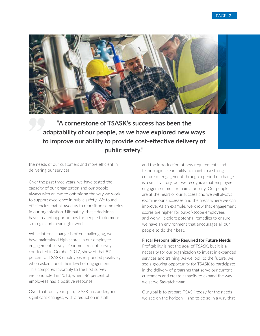

**"A cornerstone of TSASK's success has been the adaptability of our people, as we have explored new ways to improve our ability to provide cost-effective delivery of public safety."**

the needs of our customers and more efficient in delivering our services.

Over the past three years, we have tested the capacity of our organization and our people – always with an eye to optimizing the way we work to support excellence in public safety. We found efficiencies that allowed us to reposition some roles in our organization. Ultimately, these decisions have created opportunities for people to do more strategic and meaningful work.

While internal change is often challenging, we have maintained high scores in our employee engagement surveys. Our most recent survey, conducted in October 2017, showed that 87 percent of TSASK employees responded positively when asked about their level of engagement. This compares favorably to the first survey we conducted in 2013, when 86 percent of employees had a positive response.

Over that four-year span, TSASK has undergone significant changes, with a reduction in staff

and the introduction of new requirements and technologies. Our ability to maintain a strong culture of engagement through a period of change is a small victory, but we recognize that employee engagement must remain a priority. Our people are at the heart of our success and we will always examine our successes and the areas where we can improve. As an example, we know that engagement scores are higher for out-of-scope employees and we will explore potential remedies to ensure we have an environment that encourages all our people to do their best.

### **Fiscal Responsibility Required for Future Needs**

Profitability is not the goal of TSASK, but it is a necessity for our organization to invest in expanded services and training. As we look to the future, we see a growing opportunity for TSASK to participate in the delivery of programs that serve our current customers and create capacity to expand the way we serve Saskatchewan.

Our goal is to prepare TSASK today for the needs we see on the horizon – and to do so in a way that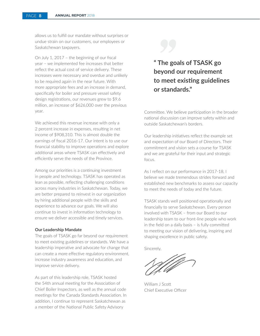allows us to fulfill our mandate without surprises or undue strain on our customers, our employees or Saskatchewan taxpayers.

On July 1, 2017 – the beginning of our fiscal year – we implemented fee increases that better reflect the actual cost of service delivery. These increases were necessary and overdue and unlikely to be required again in the near future. With more appropriate fees and an increase in demand, specifically for boiler and pressure vessel safety design registrations, our revenues grew to \$9.6 million, an increase of \$626,000 over the previous year.

We achieved this revenue increase with only a 2 percent increase in expenses, resulting in net income of \$908,310. This is almost double the earnings of fiscal 2016-17. Our intent is to use our financial stability to improve operations and explore additional areas where TSASK can effectively and efficiently serve the needs of the Province.

Among our priorities is a continuing investment in people and technology. TSASK has operated as lean as possible, reflecting challenging conditions across many industries in Saskatchewan. Today, we are better prepared to reinvest in our organization by hiring additional people with the skills and experience to advance our goals. We will also continue to invest in information technology to ensure we deliver accessible and timely services.

#### **Our Leadership Mandate**

The goals of TSASK go far beyond our requirement to meet existing guidelines or standards. We have a leadership imperative and advocate for change that can create a more effective regulatory environment, increase industry awareness and education, and improve service delivery.

As part of this leadership role, TSASK hosted the 54th annual meeting for the Association of Chief Boiler Inspectors, as well as the annual code meetings for the Canada Standards Association. In addition, I continue to represent Saskatchewan as a member of the National Public Safety Advisory

### **" The goals of TSASK go beyond our requirement to meet existing guidelines or standards."**

Committee. We believe participation in the broader national discussion can improve safety within and outside Saskatchewan's borders.

Our leadership initiatives reflect the example set and expectation of our Board of Directors. Their commitment and vision sets a course for TSASK and we are grateful for their input and strategic focus.

As I reflect on our performance in 2017-18, I believe we made tremendous strides forward and established new benchmarks to assess our capacity to meet the needs of today and the future.

TSASK stands well positioned operationally and financially to serve Saskatchewan. Every person involved with TSASK – from our Board to our leadership team to our front-line people who work in the field on a daily basis – is fully committed to meeting our vision of delivering, inspiring and shaping excellence in public safety.

Sincerely,

f fyr

William J Scott Chief Executive Officer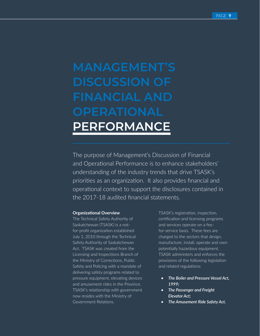## **management's discussion of financial and operational performance**

The purpose of Management's Discussion of Financial and Operational Performance is to enhance stakeholders' understanding of the industry trends that drive TSASK's priorities as an organization. It also provides financial and operational context to support the disclosures contained in the 2017-18 audited financial statements.

#### **Organizational Overview**

The Technical Safety Authority of Saskatchewan (TSASK) is a notfor-profit organization established July 1, 2010 through the Technical Safety Authority of Saskatchewan Act. TSASK was created from the Licensing and Inspections Branch of the Ministry of Corrections, Public Safety and Policing with a mandate of delivering safety programs related to pressure equipment, elevating devices and amusement rides in the Province. TSASK's relationship with government now resides with the Ministry of Government Relations.

TSASK's registration, inspection, certification and licensing programs and services operate on a feefor-service basis. These fees are charged to the sectors that design, manufacture, install, operate and own potentially hazardous equipment. TSASK administers and enforces the provisions of the following legislation and related regulations:

- *• The Boiler and Pressure Vessel Act, 1999;*
- *• The Passenger and Freight Elevator Act;*
- *• The Amusement Ride Safety Act.*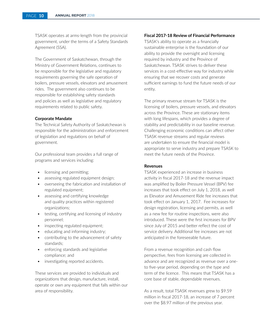TSASK operates at arms-length from the provincial government, under the terms of a Safety Standards Agreement (SSA).

The Government of Saskatchewan, through the Ministry of Government Relations, continues to be responsible for the legislative and regulatory requirements governing the safe operation of boilers, pressure vessels, elevators and amusement rides. The government also continues to be responsible for establishing safety standards and policies as well as legislative and regulatory requirements related to public safety.

### **Corporate Mandate**

The Technical Safety Authority of Saskatchewan is responsible for the administration and enforcement of legislation and regulations on behalf of government.

Our professional team provides a full range of programs and services including:

- licensing and permitting;
- assessing regulated equipment design;
- overseeing the fabrication and installation of regulated equipment;
- assessing and certifying knowledge and quality practices within registered organizations;
- testing, certifying and licensing of industry personnel;
- inspecting regulated equipment;
- educating and informing industry;
- contributing to the advancement of safety standards;
- enforcing standards and legislative compliance; and
- investigating reported accidents.

These services are provided to individuals and organizations that design, manufacture, install, operate or own any equipment that falls within our area of responsibility.

### **Fiscal 2017-18 Review of Financial Performance**

TSASK's ability to operate as a financially sustainable enterprise is the foundation of our ability to provide the oversight and licensing required by industry and the Province of Saskatchewan. TSASK strives to deliver these services in a cost-effective way for industry while ensuring that we recover costs and generate sufficient earnings to fund the future needs of our entity.

The primary revenue stream for TSASK is the licensing of boilers, pressure vessels, and elevators across the Province. These are stationary items with long lifespans, which provides a degree of stability and predictability in our baseline revenue. Challenging economic conditions can affect other TSASK revenue streams and regular reviews are undertaken to ensure the financial model is appropriate to serve industry and prepare TSASK to meet the future needs of the Province.

### **Revenues**

TSASK experienced an increase in business activity in fiscal 2017-18 and the revenue impact was amplified by Boiler Pressure Vessel (BPV) fee increases that took effect on July 1, 2018, as well as Elevator and Amusement Ride fee increases that took effect on January 1, 2017. Fee increases for design registration, licensing and permits, as well as a new fee for routine inspections, were also introduced. These were the first increases for BPV since July of 2015 and better reflect the cost of service delivery. Additional fee increases are not anticipated in the foreseeable future.

From a revenue recognition and cash flow perspective, fees from licensing are collected in advance and are recognized as revenue over a oneto five-year period, depending on the type and term of the licence. This means that TSASK has a core base of stable, dependable revenues.

As a result, total TSASK revenues grew to \$9.59 million in fiscal 2017-18, an increase of 7 percent over the \$8.97 million of the previous year.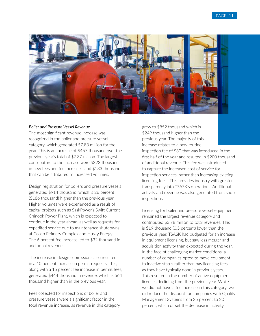

#### *Boiler and Pressure Vessel Revenue*

The most significant revenue increase was recognized in the boiler and pressure vessel category, which generated \$7.83 million for the year. This is an increase of \$457 thousand over the previous year's total of \$7.37 million. The largest contributors to the increase were \$323 thousand in new fees and fee increases, and \$133 thousand that can be attributed to increased volumes.

Design registration for boilers and pressure vessels generated \$914 thousand, which is 26 percent (\$186 thousand) higher than the previous year. Higher volumes were experienced as a result of capital projects such as SaskPower's Swift Current Chinook Power Plant, which is expected to continue in the year ahead, as well as requests for expedited service due to maintenance shutdowns at Co-op Refinery Complex and Husky Energy. The 6 percent fee increase led to \$32 thousand in additional revenue.

The increase in design submissions also resulted in a 10 percent increase in permit requests. This, along with a 15 percent fee increase in permit fees, generated \$444 thousand in revenue, which is \$64 thousand higher than in the previous year.

Fees collected for inspections of boiler and pressure vessels were a significant factor in the total revenue increase, as revenue in this category grew to \$852 thousand which is \$249 thousand higher than the previous year. The majority of this increase relates to a new routine

inspection fee of \$30 that was introduced in the first half of the year and resulted in \$200 thousand of additional revenue. This fee was introduced to capture the increased cost of service for inspection services, rather than increasing existing licensing fees. This provides industry with greater transparency into TSASK's operations. Additional activity and revenue was also generated from shop inspections.

Licensing for boiler and pressure vessel equipment remained the largest revenue category and contributed \$3.78 million to total revenues. This is \$19 thousand (0.5 percent) lower than the previous year. TSASK had budgeted for an increase in equipment licensing, but saw less merger and acquisition activity than expected during the year. In the face of challenging market conditions, a number of companies opted to move equipment to inactive status rather than pay licensing fees as they have typically done in previous years. This resulted in the number of active equipment licences declining from the previous year. While we did not have a fee increase in this category, we did reduce the discount for companies with Quality Management Systems from 25 percent to 20 percent, which offset the decrease in activity.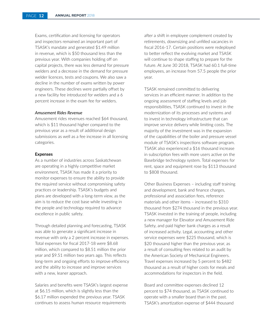Exams, certification and licensing for operators and inspectors remained an important part of TSASK's mandate and generated \$1.49 million in revenue, which is \$50 thousand less than the previous year. With companies holding off on capital projects, there was less demand for pressure welders and a decrease in the demand for pressure welder licences, tests and coupons. We also saw a decline in the number of exams written by power engineers. These declines were partially offset by a new facility fee introduced for welders and a 6 percent increase in the exam fee for welders.

### *Amusement Rides Revenue*

Amusement rides revenues reached \$64 thousand, which is \$11 thousand higher compared to the previous year as a result of additional design submissions as well as a fee increase in all licensing categories.

#### **Expenses**

As a number of industries across Saskatchewan are operating in a highly competitive market environment, TSASK has made it a priority to monitor expenses to ensure the ability to provide the required service without compromising safety practices or leadership. TSASK's budgets and plans are developed with a long-term view, as the aim is to reduce the cost base while investing in the people and technology required to advance excellence in public safety.

Through detailed planning and forecasting, TSASK was able to generate a significant increase in revenue with only a 2 percent increase in expenses. Total expenses for fiscal 2017-18 were \$8.68 million, which compared to \$8.51 million the prior year and \$9.51 million two years ago. This reflects long-term and ongoing efforts to improve efficiency and the ability to increase and improve services with a new, leaner approach.

Salaries and benefits were TSASK's largest expense at \$6.15 million, which is slightly less than the \$6.17 million expended the previous year. TSASK continues to assess human resource requirements

after a shift in employee complement created by retirements, downsizing and unfilled vacancies in fiscal 2016-17. Certain positions were redeployed to better reflect the evolving market and TSASK will continue to shape staffing to prepare for the future. At June 30 2018, TSASK had 60.1 full-time employees, an increase from 57.5 people the prior year.

TSASK remained committed to delivering services in an efficient manner. In addition to the ongoing assessment of staffing levels and job responsibilities, TSASK continued to invest in the modernization of its processes and systems and to invest in technology infrastructure that can improve service delivery while limiting costs. The majority of the investment was in the expansion of the capabilities of the boiler and pressure vessel module of TSASK's inspections software program. TSASK also experienced a \$16 thousand increase in subscription fees with more users active on the Basebridge technology system. Total expenses for rent, space and equipment rose by \$113 thousand to \$808 thousand.

Other Business Expenses – including staff training and development, bank and finance charges, professional and association fees, reference materials and other items – increased to \$310 thousand from \$274 thousand in the previous year. TSASK invested in the training of people, including a new manager for Elevator and Amusement Ride Safety, and paid higher bank charges as a result of increased activity. Legal, accounting and other service expenses were \$225 thousand, which is \$20 thousand higher than the previous year, as a result of consulting fees related to an audit by the American Society of Mechanical Engineers. Travel expenses increased by 5 percent to \$482 thousand as a result of higher costs for meals and accommodations for inspectors in the field.

Board and committee expenses declined 12 percent to \$74 thousand, as TSASK continued to operate with a smaller board than in the past. TSASK's amortization expense of \$444 thousand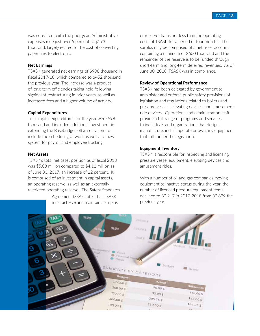was consistent with the prior year. Administrative expenses rose just over 5 percent to \$193 thousand, largely related to the cost of converting paper files to electronic.

### **Net Earnings**

TSASK generated net earnings of \$908 thousand in fiscal 2017-18, which compared to \$452 thousand the previous year. The increase was a product of long-term efficiencies taking hold following significant restructuring in prior years, as well as increased fees and a higher volume of activity.

### **Capital Expenditures**

Total capital expenditures for the year were \$98 thousand and included additional investment in extending the Basebridge software system to include the scheduling of work as well as a new system for payroll and employee tracking.

### **Net Assets**

TSASK's total net asset position as of fiscal 2018 was \$5.03 million compared to \$4.12 million as of June 30, 2017, an increase of 22 percent. It is comprised of an investment in capital assets, an operating reserve, as well as an externally restricted operating reserve. The Safety Standards

> Agreement (SSA) states that TSASK must achieve and maintain a surplus

or reserve that is not less than the operating costs of TSASK for a period of four months. The surplus may be comprised of a net asset account containing a minimum of \$600 thousand and the remainder of the reserve is to be funded through short-term and long-term deferred revenues. As of June 30, 2018, TSASK was in compliance.

#### **Review of Operational Performance**

TSASK has been delegated by government to administer and enforce public safety provisions of legislation and regulations related to boilers and pressure vessels, elevating devices, and amusement ride devices. Operations and administration staff provide a full range of programs and services to individuals and organizations that design, manufacture, install, operate or own any equipment that falls under the legislation.

### **Equipment Inventory**

TSASK is responsible for inspecting and licensing pressure vessel equipment, elevating devices and amusement rides.

With a number of oil and gas companies moving equipment to inactive status during the year, the number of licenced pressure equipment items declined to 32,217 in 2017-2018 from 32,899 the previous year.

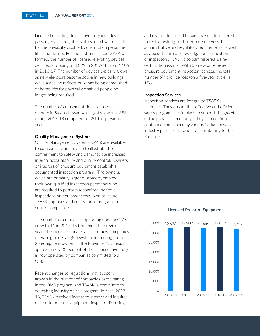Licenced elevating device inventory includes passenger and freight elevators, dumbwaiters, lifts for the physically disabled, construction personnel lifts, and ski lifts. For the first time since TSASK was formed, the number of licensed elevating devices declined, dropping to 4,029 in 2017-18 from 4,105 in 2016-17. The number of devices typically grows as new elevators become active in new buildings, while a decline reflects buildings being demolished or home lifts for physically disabled people no longer being required.

The number of amusement rides licensed to operate in Saskatchewan was slightly lower at 383 during 2017-18 compared to 391 the previous year.

#### **Quality Management Systems**

Quality Management Systems (QMS) are available to companies who are able to illustrate their commitment to safety and demonstrate increased internal accountability and quality control. Owners or insurers of pressure equipment establish a documented inspection program. The owners, which are primarily larger customers, employ their own qualified inspection personnel who are required to perform recognized, periodic inspections on equipment they own or insure. TSASK approves and audits those programs to ensure compliance.

The number of companies operating under a QMS grew to 11 in 2017-18 from nine the previous year. The increase is material as the new companies operating under a QMS system are among the top 25 equipment owners in the Province. As a result, approximately 30 percent of the licenced inventory is now operated by companies committed to a QMS.

Recent changes to regulations may support growth in the number of companies participating in the QMS program, and TSASK is committed to educating industry on this program. In fiscal 2017- 18, TSASK received increased interest and inquires related to pressure equipment inspector licensing

and exams. In total, 41 exams were administered to test knowledge of boiler pressure vessel administrative and regulatory requirements as well as assess technical knowledge for certification of inspectors. TSASK also administered 14 recertification exams. With 55 new or renewed pressure equipment inspector licences, the total number of valid licences (on a five-year cycle) is 156.

#### **Inspection Services**

Inspection services are integral to TSASK's mandate. They ensure that effective and efficient safety programs are in place to support the growth of the provincial economy. They also confirm continued compliance by various Saskatchewan industry participants who are contributing to the Province.



### **Licensed Pressure Equipment**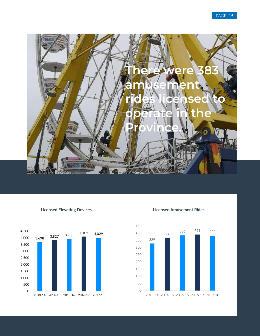





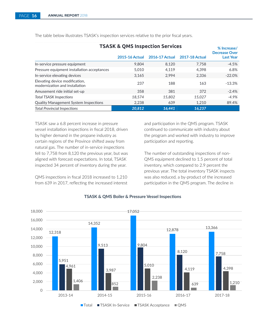|                                                                  | <b>TSASK &amp; QMS Inspection Services</b> |                       |                       |                                          |  |  |
|------------------------------------------------------------------|--------------------------------------------|-----------------------|-----------------------|------------------------------------------|--|--|
|                                                                  | <b>2015-16 Actual</b>                      | <b>2016-17 Actual</b> | <b>2017-18 Actual</b> | <b>Decrease Over</b><br><b>Last Year</b> |  |  |
| In-service pressure equipment                                    | 9.804                                      | 8.120                 | 7.758                 | $-4.5%$                                  |  |  |
| Pressure equipment installation acceptances                      | 5.010                                      | 4.119                 | 4.398                 | 6.8%                                     |  |  |
| In-service elevating devices                                     | 3.165                                      | 2.994                 | 2.336                 | $-22.0%$                                 |  |  |
| Elevating device modification,<br>modernization and installation | 237                                        | 188                   | 163                   | $-13.3%$                                 |  |  |
| Amusement ride initial set-up                                    | 358                                        | 381                   | 372                   | $-2.4%$                                  |  |  |
| <b>Total TSASK Inspections</b>                                   | 18.574                                     | 15.802                | 15,027                | $-4.9\%$                                 |  |  |
| <b>Quality Management System Inspections</b>                     | 2.238                                      | 639                   | 1.210                 | 89.4%                                    |  |  |
| <b>Total Provincial Inspections</b>                              | 20.812                                     | 16.441                | 16.237                |                                          |  |  |

The table below illustrates TSASK's inspection services relative to the prior fiscal years.

TSASK saw a 6.8 percent increase in pressure vessel installation inspections in fiscal 2018, driven by higher demand in the propane industry as certain regions of the Province shifted away from natural gas. The number of in-service inspections fell to 7,758 from 8,120 the previous year, but was aligned with forecast expectations. In total, TSASK inspected 34 percent of inventory during the year.

QMS inspections in fiscal 2018 increased to 1,210 from 639 in 2017, reflecting the increased interest and participation in the QMS program. TSASK continued to communicate with industry about the program and worked with industry to improve participation and reporting.

The number of outstanding inspections of non-QMS equipment declined to 1.5 percent of total inventory, which compared to 2.9 percent the previous year. The total inventory TSASK inspects was also reduced, a by-product of the increased participation in the QMS program. The decline in



### **TSASK & QMS Boiler & Pressure Vessel Inspections**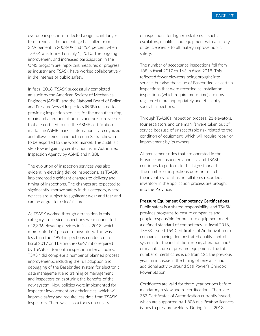overdue inspections reflected a significant longerterm trend, as the percentage has fallen from 32.9 percent in 2008-09 and 25.4 percent when TSASK was formed on July 1, 2010. The ongoing improvement and increased participation in the QMS program are important measures of progress, as industry and TSASK have worked collaboratively in the interest of public safety.

In fiscal 2018, TSASK successfully completed an audit by the American Society of Mechanical Engineers (ASME) and the National Board of Boiler and Pressure Vessel Inspectors (NBBI) related to providing inspection services for the manufacturing, repair and alteration of boilers and pressure vessels that are certified to use the ASME certification mark. The ASME mark is internationally recognized and allows items manufactured in Saskatchewan to be exported to the world market. The audit is a step toward gaining certification as an Authorized Inspection Agency by ASME and NBBI.

\$ evident in elevating device inspections, as TSASK The evolution of inspection services was also implemented significant changes to delivery and timing of inspections. The changes are expected to significantly improve safety in this category, where devices are subject to significant wear and tear and can be at greater risk of failure.

As TSASK worked through a transition in this category, in-service inspections were conducted of 2,336 elevating devices in fiscal 2018, which represented 62 percent of inventory. This was less than the 2,994 inspections conducted in fiscal 2017 and below the 0.667 ratio required by TSASK's 18-month inspection interval policy. TSASK did complete a number of planned process improvements, including the full adoption and debugging of the Basebridge system for electronic data management and training of management and inspectors on capturing the benefits of the new system. New policies were implemented for inspector involvement on deficiencies, which will improve safety and require less time from TSASK inspectors. There was also a focus on quality

of inspections for higher-risk items – such as escalators, manlifts, and equipment with a history of deficiencies – to ultimately improve public safety.

The number of acceptance inspections fell from 188 in fiscal 2017 to 163 in fiscal 2018. This reflected fewer elevators being brought into service, but also the value of Basebridge, as certain inspections that were recorded as installation inspections (which require more time) are now registered more appropriately and efficiently as special inspections.

Through TSASK's inspection process, 21 elevators, four escalators and one manlift were taken out of service because of unacceptable risk related to the condition of equipment, which will require repair or improvement by its owners.

All amusement rides that are operated in the Province are inspected annually, and TSASK continues to perform to this high standard. The number of inspections does not match the inventory total, as not all items recorded as inventory in the application process are brought into the Province.

### **Pressure Equipment Competency Certifications**

Public safety is a shared responsibility, and TSASK provides programs to ensure companies and people responsible for pressure equipment meet a defined standard of competency. In fiscal 2018, TSASK issued 154 Certificates of Authorization to companies having demonstrated quality control systems for the installation, repair, alteration and/ or manufacture of pressure equipment. The total number of certificates is up from 121 the previous year, an increase in the timing of renewals and additional activity around SaskPower's Chinook Power Station.

Certificates are valid for three-year periods before mandatory review and re-certification. There are 353 Certificates of Authorization currently issued, which are supported by 1,808 qualification licences issues to pressure welders. During fiscal 2018,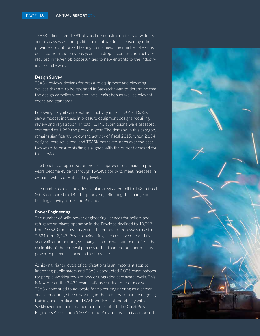TSASK administered 781 physical demonstration tests of welders and also assessed the qualifications of welders licensed by other provinces or authorized testing companies. The number of exams declined from the previous year, as a drop in construction activity resulted in fewer job opportunities to new entrants to the industry in Saskatchewan.

#### **Design Survey**

TSASK reviews designs for pressure equipment and elevating devices that are to be operated in Saskatchewan to determine that the design complies with provincial legislation as well as relevant codes and standards.

Following a significant decline in activity in fiscal 2017, TSASK saw a modest increase in pressure equipment designs requiring review and registration. In total, 1,440 submissions were assessed, compared to 1,259 the previous year. The demand in this category remains significantly below the activity of fiscal 2015, when 2,154 designs were reviewed, and TSASK has taken steps over the past two years to ensure staffing is aligned with the current demand for this service.

The benefits of optimization process improvements made in prior years became evident through TSASK's ability to meet increases in demand with current staffing levels.

The number of elevating device plans registered fell to 148 in fiscal 2018 compared to 185 the prior year, reflecting the change in building activity across the Province.

### **Power Engineering**

The number of valid power engineering licences for boilers and refrigeration plants operating in the Province declined to 10,397 from 10,660 the previous year. The number of renewals rose to 2,521 from 2,247. Power engineering licences have one and fiveyear validation options, so changes in renewal numbers reflect the cyclicality of the renewal process rather than the number of active power engineers licenced in the Province.

Achieving higher levels of certifications is an important step to improving public safety and TSASK conducted 3,005 examinations for people working toward new or upgraded certificate levels. This is fewer than the 3,422 examinations conducted the prior year. TSASK continued to advocate for power engineering as a career and to encourage those working in the industry to pursue ongoing training and certification. TSASK worked collaboratively with SaskPower and industry members to establish the Chief Power Engineers Association (CPEA) in the Province, which is comprised

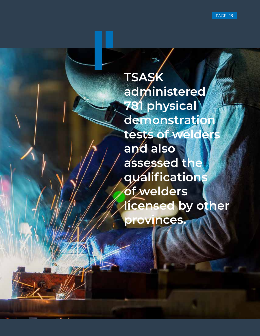Page **19**

**TSASK administered 781 physical demonstration tests of welders and also assessed the qualification of welders licensed by other provinces.**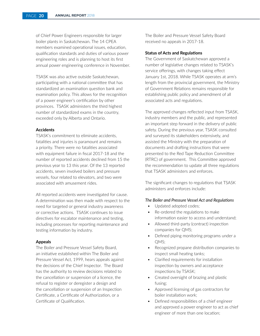of Chief Power Engineers responsible for larger boiler plants in Saskatchewan. The 14 CPEA members examined operational issues, education, qualification standards and duties of various power engineering roles and is planning to host its first annual power engineering conference in November.

TSASK was also active outside Saskatchewan, participating with a national committee that has standardized an examination question bank and examination policy. This allows for the recognition of a power engineer's certification by other provinces. TSASK administers the third highest number of standardized exams in the country, exceeded only by Alberta and Ontario.

### **Accidents**

TSASK's commitment to eliminate accidents, fatalities and injuries is paramount and remains a priority. There were no fatalities associated with equipment failure in fiscal 2017-18 and the number of reported accidents declined from 15 the previous year to 13 this year. Of the 13 reported accidents, seven involved boilers and pressure vessels, four related to elevators, and two were associated with amusement rides.

All reported accidents were investigated for cause. A determination was then made with respect to the need for targeted or general industry awareness or corrective actions. TSASK continues to issue directives for escalator maintenance and testing, including processes for reporting maintenance and testing information by industry.

### **Appeals**

The Boiler and Pressure Vessel Safety Board, an initiative established within The Boiler and Pressure Vessel Act, 1999, hears appeals against the decisions of the Chief Inspector. The Board has the authority to review decisions related to the cancellation or suspension of a licence, the refusal to register or deregister a design and the cancellation or suspension of an Inspection Certificate, a Certificate of Authorization, or a Certificate of Qualification.

The Boiler and Pressure Vessel Safety Board received no appeals in 2017-18.

#### **Status of Acts and Regulations**

The Government of Saskatchewan approved a number of legislative changes related to TSASK's service offerings, with changes taking effect January 1st, 2018. While TSASK operates at arm's length from the provincial government, the Ministry of Government Relations remains responsible for establishing public policy and amendment of all associated acts and regulations.

The approved changes reflected input from TSASK, industry members and the public, and represented an important step forward in the delivery of public safety. During the previous year, TSASK consulted and surveyed its stakeholders extensively, and assisted the Ministry with the preparation of documents and drafting instructions that were presented to the Red Tape Reduction Committee (RTRC) of government. This Committee approved the recommendation to update all three regulations that TSASK administers and enforces.

The significant changes to regulations that TSASK administers and enforces include:

#### *The Boiler and Pressure Vessel Act and Regulations*

- Updated adopted codes;
- Re-ordered the regulations to make information easier to access and understand;
- Allowed third-party (contract) inspection companies for QMS;
- Defined piping monitoring programs under a QMS;
- Recognized propane distribution companies to inspect small heating tanks;
- Clarified requirements for installation inspection by owners and acceptance inspections by TSASK;
- Created oversight of brazing and plastic fusing;
- Approved licensing of gas contractors for boiler installation work;
- Defined responsibilities of a chief engineer and approved a power engineer to act as chief engineer of more than one location;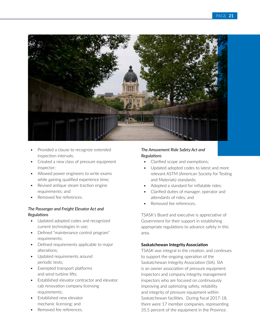

- Provided a clause to recognize extended inspection intervals;
- Created a new class of pressure equipment inspector;
- Allowed power engineers to write exams while gaining qualified experience time;
- Revised antique steam traction engine requirements; and
- Removed fee references.

### *The Passenger and Freight Elevator Act and Regulations*

- Updated adopted codes and recognized current technologies in use;
- Defined "maintenance control program" requirements;
- Defined requirements applicable to major alterations;
- Updated requirements around periodic tests;
- Exempted transport platforms and wind turbine lifts;
- Established elevator contractor and elevator cab renovation company licensing requirements;
- Established new elevator mechanic licensing; and
- Removed fee references.

### *The Amusement Ride Safety Act and Regulations*

- Clarified scope and exemptions;
- Updated adopted codes to latest and more relevant ASTM (American Society for Testing and Materials) standards;
- Adopted a standard for inflatable rides;
- Clarified duties of manager, operator and attendants of rides; and
- Removed fee references.

TSASK's Board and executive is appreciative of Government for their support in establishing appropriate regulations to advance safety in this area.

### **Saskatchewan Integrity Association**

TSASK was integral in the creation, and continues to support the ongoing operation of the Saskatchewan Integrity Association (SIA). SIA is an owner association of pressure equipment inspectors and company integrity management inspectors who are focused on continuously improving and optimizing safety, reliability and integrity of pressure equipment within Saskatchewan facilities. During fiscal 2017-18, there were 17 member companies, representing 35.5 percent of the equipment in the Province.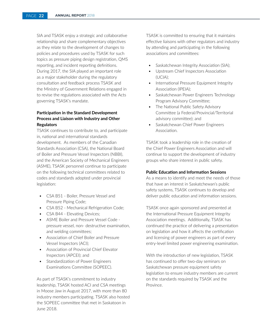SIA and TSASK enjoy a strategic and collaborative relationship and share complementary objectives as they relate to the development of changes to policies and procedures used by TSASK for such topics as pressure piping design registration, QMS reporting, and incident reporting definitions. During 2017, the SIA played an important role as a major stakeholder during the regulatory consultation and feedback process TSASK and the Ministry of Government Relations engaged in to revise the regulations associated with the Acts governing TSASK's mandate.

### **Participation in the Standard Development Process and Liaison with Industry and Other Regulators**

TSASK continues to contribute to, and participate in, national and international standards development. As members of the Canadian Standards Association (CSA), the National Board of Boiler and Pressure Vessel Inspectors (NBBI), and the American Society of Mechanical Engineers (ASME), TSASK personnel continue to participate on the following technical committees related to codes and standards adopted under provincial legislation:

- CSA B51 Boiler, Pressure Vessel and Pressure Piping Code;
- CSA B52 Mechanical Refrigeration Code;
- CSA B44 Elevating Devices;
- ASME Boiler and Pressure Vessel Code pressure vessel, non- destructive examination, and welding committees;
- Association of Chief Boiler and Pressure Vessel Inspectors (ACI);
- Association of Provincial Chief Elevator Inspectors (APCEI); and
- Standardization of Power Engineers Examinations Committee (SOPEEC).

As part of TSASK's commitment to industry leadership, TSASK hosted ACI and CSA meetings in Moose Jaw in August 2017, with more than 80 industry members participating. TSASK also hosted the SOPEEC committee that met in Saskatoon in June 2018.

TSASK is committed to ensuring that it maintains effective liaisons with other regulators and industry by attending and participating in the following associations and committees:

- Saskatchewan Integrity Association (SIA);
- Upstream Chief Inspectors Association (UCIA);
- International Pressure Equipment Integrity Association (IPEIA);
- Saskatchewan Power Engineers Technology Program Advisory Committee;
- The National Public Safety Advisory Committee (a Federal/Provincial/Territorial advisory committee); and
- Saskatchewan Chief Power Engineers Association.

TSASK took a leadership role in the creation of the Chief Power Engineers Association and will continue to support the development of industry groups who share interest in public safety.

### **Public Education and Information Sessions**

As a means to identify and meet the needs of those that have an interest in Saskatchewan's public safety systems, TSASK continues to develop and deliver public education and information sessions.

TSASK once again sponsored and presented at the International Pressure Equipment Integrity Association meetings. Additionally, TSASK has continued the practice of delivering a presentation on legislation and how it affects the certification and licensing of power engineers as part of every entry-level limited power engineering examination.

With the introduction of new legislation, TSASK has continued to offer two-day seminars on Saskatchewan pressure equipment safety legislation to ensure industry members are current on the standards required by TSASK and the Province.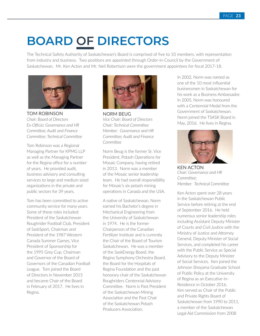### **Board OF DIRECTORs**

The Technical Safety Authority of Saskatchewan's Board is comprised of five to 10 members, with representation from industry and business. Two positions are appointed through Order-in-Council by the Government of Saskatchewan. Mr. Ken Acton and Mr. Neil Robertson were the government appointees for fiscal 2017-18.



Tom Robinson *Chair: Board of Directors Ex-Officio: Governance and HR Committee; Audit and Finance Committee; Technical Committee*

Tom Robinson was a Regional Managing Partner for KPMG LLP as well as the Managing Partner for the Regina office for a number of years. He provided audit, business advisory and consulting services to large and medium sized organizations in the private and public sectors for 39 years.

Tom has been committed to active community service for many years. Some of these roles included: President of the Saskatchewan Roughrider Football Club, President of SaskSport, Chairman and President of the 1987 Western Canada Summer Games, Vice President of Sponsorship for the 1995 Grey Cup, Chairman and Governor of the Board of Governors of the Canadian Football League. Tom joined the Board of Directors in November 2015 and became Chair of the Board in February of 2017. He lives in Regina.



norm beug *Vice Chair: Board of Directors Chair: Technical Committee Member: Governance and HR Committee; Audit and Finance Committee*

Norm Beug is the former Sr. Vice President, Potash Operations for Mosaic Company, having retired in 2013. Norm was a member of the Mosaic senior leadership team. He had overall responsibility for Mosaic's six potash mining operations in Canada and the USA.

A native of Saskatchewan, Norm earned his Bachelor's degree in Mechanical Engineering from the University of Saskatchewan in 1974. He is the former Chairperson of the Canadian Fertilizer Institute and is currently the Chair of the Board of Tourism Saskatchewan. He was a member of the SaskEnergy Board, the Regina Symphony Orchestra Board, the Board for the Hospitals of Regina Foundation and the past honorary chair of the Saskatchewan Roughriders Centennial Advisory Committee. Norm is Past President of the Saskatchewan Mining Association and the Past Chair of the Saskatchewan Potash Producers Association.

In 2002, Norm was named as one of the 10 most influential businessmen in Saskatchewan for his work as a Business Ambassador. In 2005, Norm was honoured with a Centennial Medal from the Government of Saskatchewan. Norm joined the TSASK Board in May, 2016. He lives in Regina.



kEN aCTON *Chair: Governance and HR Committee; Member: Technical Committee*

Ken Acton spent over 28 years in the Saskatchewan Public Service before retiring at the end of September 2016. He held numerous senior leadership roles including Assistant Deputy Minister of Courts and Civil Justice with the Ministry of Justice and Attorney General, Deputy Minister of Social Services, and completed his career with the Public Service as Special Advisory to the Deputy Minister of Social Services. Ken joined the Johnson Shoyama Graduate School of Public Policy at the University of Regina as an Executive-in-Residence in October 2016. Ken served as Chair of the Public and Private Rights Board of Saskatchewan from 1990 to 2011, a member of the Saskatchewan Legal Aid Commission from 2008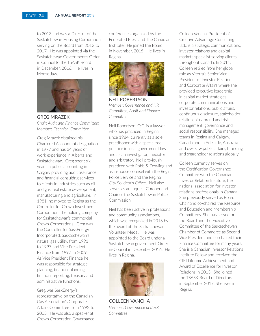to 2013 and was a Director of the Saskatchewan Housing Corporation serving on the Board from 2012 to 2017. He was appointed via the Saskatchewan Government's Order in Council to the TSASK Board in December, 2016. He lives in Moose Jaw.



Greg mrazek *Chair: Audit and Finance Committee; Member: Technical Committee*

Greg Mrazek obtained his Chartered Accountant designation in 1977 and has 34 years of work experience in Alberta and Saskatchewan. Greg spent six years in public accounting in Calgary providing audit assurance and financial consulting services to clients in industries such as oil and gas, real estate development, manufacturing and agriculture. In 1981, he moved to Regina as the Controller for Crown Investments Corporation, the holding company for Saskatchewan's commercial Crown Corporations. Greg was the Controller for SaskEnergy Incorporated, Saskatchewan's natural gas utility, from 1991 to 1997 and Vice President Finance from 1997 to 2009. As Vice President Finance he was responsible for strategic planning, financial planning, financial reporting, treasury and administrative functions.

Greg was SaskEnergy's representative on the Canadian Gas Association's Corporate Affairs Committee from 1992 to 2005. He was also a speaker at Crown Corporation Governance

conferences organized by the Federated Press and The Canadian Institute. He joined the Board in November, 2015. He lives in Regina.



Neil robertson *Member: Governance and HR Committee; Audit and Finance Committee*

Neil Robertson, Q.C. is a lawyer who has practiced in Regina since 1984, currently as a sole practitioner with a specialized practice in local government law and as an investigator, mediator and arbitrator. Neil previously practiced with Robb & Dowling and as in-house counsel with the Regina Police Service and the Regina City Solicitor's Office. Neil also serves as an Inquest Coroner and Chair of the Saskatchewan Police Commission.

Neil has been active in professional and community associations, which was recognized in 2016 by the award of the Saskatchewan Volunteer Medal. He was appointed to the Board under a Saskatchewan government Orderin-Council in December 2016. He lives in Regina.



colleen vancha *Member: Governance and HR Committee*

Colleen Vancha, President of Creative Advantage Consulting Ltd., is a strategic communications, investor relations and capital markets specialist serving clients throughout Canada. In 2011, Colleen retired from her global role as Viterra's Senior Vice-President of Investor Relations and Corporate Affairs where she provided executive leadership in capital market strategies, corporate communications and investor relations, public affairs, continuous disclosure, stakeholder relationships, brand and risk management, governance and social responsibility. She managed teams in Regina and Calgary, Canada and in Adelaide, Australia and oversaw public affairs, branding and shareholder relations globally.

Colleen currently serves on the Certification Governance Committee with the Canadian Investor Relation Institute, the national association for investor relations professionals in Canada. She previously served as Board Chair and co-chaired the Resource and Education and Membership Committees. She has served on the Board and the Executive Committee of the Saskatchewan Chamber of Commerce as Second Vice President and co-chaired their Finance Committee for many years. She is a Canadian Investor Relations Institute Fellow and received the CIRI Lifetime Achievement and Award of Excellence for Investor Relations in 2013. She joined the TSASK Board of Directors in September 2017. She lives in Regina.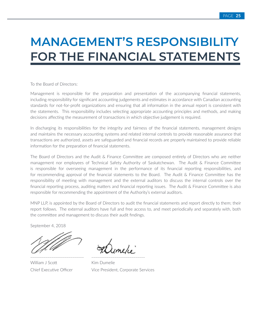### **Management's responsibility for the financial statements**

To the Board of Directors:

Management is responsible for the preparation and presentation of the accompanying financial statements, including responsibility for significant accounting judgements and estimates in accordance with Canadian accounting standards for not-for-profit organizations and ensuring that all information in the annual report is consistent with the statements. This responsibility includes selecting appropriate accounting principles and methods, and making decisions affecting the measurement of transactions in which objective judgement is required.

In discharging its responsibilities for the integrity and fairness of the financial statements, management designs and maintains the necessary accounting systems and related internal controls to provide reasonable assurance that transactions are authorized, assets are safeguarded and financial records are properly maintained to provide reliable information for the preparation of financial statements.

The Board of Directors and the Audit & Finance Committee are composed entirely of Directors who are neither management nor employees of Technical Safety Authority of Saskatchewan. The Audit & Finance Committee is responsible for overseeing management in the performance of its financial reporting responsibilities, and for recommending approval of the financial statements to the Board. The Audit & Finance Committee has the responsibility of meeting with management and the external auditors to discuss the internal controls over the financial reporting process, auditing matters and financial reporting issues. The Audit & Finance Committee is also responsible for recommending the appointment of the Authority's external auditors.

MNP LLP, is appointed by the Board of Directors to audit the financial statements and report directly to them; their report follows. The external auditors have full and free access to, and meet periodically and separately with, both the committee and management to discuss their audit findings.

September 4, 2018

William J Scott Kim Dumelie

*Limelie:* \_\_\_\_\_\_\_\_\_\_\_\_\_\_\_\_\_\_\_\_\_\_\_\_\_\_\_\_ \_\_\_\_\_\_\_\_\_\_\_\_\_\_\_\_\_\_\_\_\_\_\_\_\_\_\_\_

Chief Executive Officer Vice President, Corporate Services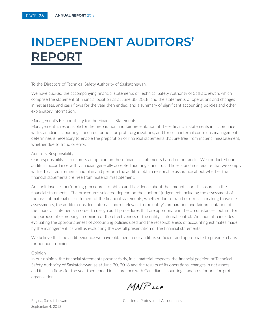### **independent auditors' report**

To the Directors of Technical Safety Authority of Saskatchewan:

We have audited the accompanying financial statements of Technical Safety Authority of Saskatchewan, which comprise the statement of financial position as at June 30, 2018, and the statements of operations and changes in net assets, and cash flows for the year then ended, and a summary of significant accounting policies and other explanatory information.

Management's Responsibility for the Financial Statements

Management is responsible for the preparation and fair presentation of these financial statements in accordance with Canadian accounting standards for not-for-profit organizations, and for such internal control as management determines is necessary to enable the preparation of financial statements that are free from material misstatement, whether due to fraud or error.

#### Auditors' Responsibility

Our responsibility is to express an opinion on these financial statements based on our audit. We conducted our audits in accordance with Canadian generally accepted auditing standards. Those standards require that we comply with ethical requirements and plan and perform the audit to obtain reasonable assurance about whether the financial statements are free from material misstatement.

An audit involves performing procedures to obtain audit evidence about the amounts and disclosures in the financial statements. The procedures selected depend on the auditors' judgement, including the assessment of the risks of material misstatement of the financial statements, whether due to fraud or error. In making those risk assessments, the auditor considers internal control relevant to the entity's preparation and fair presentation of the financial statements in order to design audit procedures that are appropriate in the circumstances, but not for the purpose of expressing an opinion of the effectiveness of the entity's internal control. An audit also includes evaluating the appropriateness of accounting policies used and the reasonableness of accounting estimates made by the management, as well as evaluating the overall presentation of the financial statements.

We believe that the audit evidence we have obtained in our audits is sufficient and appropriate to provide a basis for our audit opinion.

#### Opinion

In our opinion, the financial statements present fairly, in all material respects, the financial position of Technical Safety Authority of Saskatchewan as at June 30, 2018 and the results of its operations, changes in net assets and its cash flows for the year then ended in accordance with Canadian accounting standards for not-for-profit organizations.

 $MNP$ <sub>LLP</sub>

September 4, 2018

Regina, Saskatchewan Chartered Professional Accountants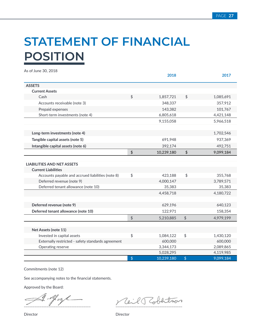### **STATEMENT OF FINANCIAL position**

As of June 30, 2018

|                                                    | 2018             |               | 2017      |
|----------------------------------------------------|------------------|---------------|-----------|
| <b>ASSETS</b>                                      |                  |               |           |
| <b>Current Assets</b>                              |                  |               |           |
| Cash                                               | \$<br>1,857,721  | \$            | 1,085,691 |
| Accounts receivable (note 3)                       | 348,337          |               | 357,912   |
| Prepaid expenses                                   | 143,382          |               | 101,767   |
| Short-term investments (note 4)                    | 6,805,618        |               | 4,421,148 |
|                                                    | 9,155,058        |               | 5,966,518 |
|                                                    |                  |               |           |
| Long-term investments (note 4)                     |                  |               | 1,702,546 |
| Tangible capital assets (note 5)                   | 691,948          |               | 937,369   |
| Intangible capital assets (note 6)                 | 392,174          |               | 492,751   |
|                                                    | \$<br>10,239,180 | \$            | 9,099,184 |
|                                                    |                  |               |           |
| <b>LIABILITIES AND NET ASSETS</b>                  |                  |               |           |
| <b>Current Liabilities</b>                         |                  |               |           |
| Accounts payable and accrued liabilities (note 8)  | \$<br>423,188    | $\frac{4}{5}$ | 355,768   |
| Deferred revenue (note 9)                          | 4,000,147        |               | 3,789,571 |
| Deferred tenant allowance (note 10)                | 35,383           |               | 35,383    |
|                                                    | 4,458,718        |               | 4,180,722 |
|                                                    |                  |               |           |
| Deferred revenue (note 9)                          | 629,196          |               | 640,123   |
| Deferred tenant allowance (note 10)                | 122,971          |               | 158,354   |
|                                                    | \$<br>5,210,885  | $\frac{4}{5}$ | 4,979,199 |
|                                                    |                  |               |           |
| Net Assets (note 11)                               |                  |               |           |
| Invested in capital assets                         | \$<br>1,084,122  | \$            | 1,430,120 |
| Externally restricted - safety standards agreement | 600,000          |               | 600,000   |
| Operating reserve                                  | 3,344,173        |               | 2,089,865 |
|                                                    | 5,028,295        |               | 4,119,985 |
|                                                    | \$<br>10,239,180 | $\frac{1}{2}$ | 9,099,184 |

Commitments (note 12)

See accompanying notes to the financial statements.

Approved by the Board:

2 gypt

Director **Director** Director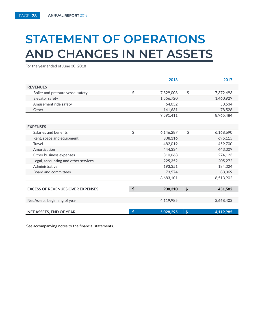### **STATEMENT OF OPERATIONS and changes in net assets**

For the year ended of June 30, 2018

|                                         | 2018            | 2017            |
|-----------------------------------------|-----------------|-----------------|
| <b>REVENUES</b>                         |                 |                 |
| Boiler and pressure vessel safety       | \$<br>7,829,008 | \$<br>7,372,493 |
| Elevator safety                         | 1,556,720       | 1,460,929       |
| Amusement ride safety                   | 64,052          | 53,534          |
| Other                                   | 141,631         | 78,528          |
|                                         | 9,591,411       | 8,965,484       |
|                                         |                 |                 |
| <b>EXPENSES</b>                         |                 |                 |
| Salaries and benefits                   | \$<br>6,146,287 | \$<br>6,168,690 |
| Rent, space and equipment               | 808,116         | 695,115         |
| <b>Travel</b>                           | 482,019         | 459,700         |
| Amortization                            | 444,334         | 443,309         |
| Other business expenses                 | 310,068         | 274,123         |
| Legal, accounting and other services    | 225,352         | 205,272         |
| Administrative                          | 193,351         | 184,324         |
| <b>Board and committees</b>             | 73,574          | 83,369          |
|                                         | 8,683,101       | 8,513,902       |
|                                         |                 |                 |
| <b>EXCESS OF REVENUES OVER EXPENSES</b> | \$<br>908,310   | \$<br>451,582   |
|                                         |                 |                 |
| Net Assets, beginning of year           | 4,119,985       | 3,668,403       |
|                                         |                 |                 |
| NET ASSETS, END OF YEAR                 | \$<br>5,028,295 | \$<br>4,119,985 |

See accompanying notes to the financial statements.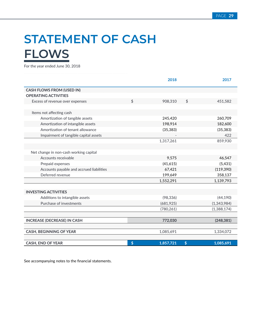## **STATEMENT OF CASH Flows**

For the year ended June 30, 2018

|                                          | 2018            | 2017            |
|------------------------------------------|-----------------|-----------------|
| <b>CASH FLOWS FROM (USED IN)</b>         |                 |                 |
| <b>OPERATING ACTIVITIES</b>              |                 |                 |
| Excess of revenue over expenses          | \$<br>908,310   | \$<br>451,582   |
|                                          |                 |                 |
| Items not affecting cash                 |                 |                 |
| Amortization of tangible assets          | 245,420         | 260,709         |
| Amortization of intangible assets        | 198,914         | 182,600         |
| Amortization of tenant allowance         | (35, 383)       | (35, 383)       |
| Impairment of tangible capital assets    |                 | 422             |
|                                          | 1,317,261       | 859,930         |
|                                          |                 |                 |
| Net change in non-cash working capital   |                 |                 |
| Accounts receivable                      | 9,575           | 46,547          |
| Prepaid expenses                         | (41,615)        | (5,431)         |
| Accounts payable and accrued liabilities | 67,421          | (119, 390)      |
| Deferred revenue                         | 199,649         | 358,137         |
|                                          | 1,552,291       | 1,139,793       |
|                                          |                 |                 |
| <b>INVESTING ACTIVITIES</b>              |                 |                 |
| Additions to intangible assets           | (98, 336)       | (44, 190)       |
| Purchase of investments                  | (681, 925)      | (1,343,984)     |
|                                          | (780, 261)      | (1,388,174)     |
|                                          |                 |                 |
| <b>INCREASE (DECREASE) IN CASH</b>       | 772,030         | (248, 381)      |
|                                          |                 |                 |
| <b>CASH, BEGINNING OF YEAR</b>           | 1,085,691       | 1,334,072       |
|                                          |                 |                 |
| <b>CASH, END OF YEAR</b>                 | \$<br>1,857,721 | \$<br>1,085,691 |

See accompanying notes to the financial statements.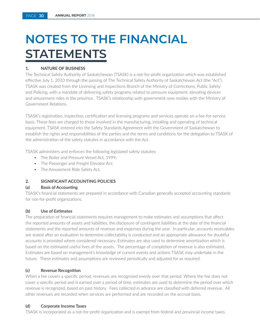### **1. NATURE OF BUSINESS**

The Technical Safety Authority of Saskatchewan (TSASK) is a not-for-profit organization which was established effective July 1, 2010 through the passing of The Technical Safety Authority of Saskatchewan Act (the "Act"). TSASK was created from the Licensing and Inspections Branch of the Ministry of Corrections, Public Safety and Policing, with a mandate of delivering safety programs related to pressure equipment, elevating devices and amusement rides in the province. TSASK's relationship with government now resides with the Ministry of Government Relations.

TSASK's registration, inspection, certification and licensing programs and services operate on a fee-for-service basis. These fees are charged to those involved in the manufacturing, installing and operating of technical equipment. TSASK entered into the Safety Standards Agreement with the Government of Saskatchewan to establish the rights and responsibilities of the parties and the terms and conditions for the delegation to TSASK of the administration of the safety statutes in accordance with the Act.

TSASK administers and enforces the following legislated safety statutes:

- The Boiler and Pressure Vessel Act, 1999;
- The Passenger and Freight Elevator Act;
- The Amusement Ride Safety Act.

### **2. SIGNIFICANT ACCOUNTING POLICIES**

### **(a) Basis of Accounting**

TSASK's financial statements are prepared in accordance with Canadian generally accepted accounting standards for not-for-profit organizations.

### **(b) Use of Estimates**

The preparation of financial statements requires management to make estimates and assumptions that affect the reported amounts of assets and liabilities, the disclosure of contingent liabilities at the date of the financial statements and the reported amounts of revenue and expenses during the year. In particular, accounts receivables are stated after an evaluation to determine collectability is conducted and an appropriate allowance for doubtful accounts is provided where considered necessary. Estimates are also used to determine amortization which is based on the estimated useful lives of the assets. The percentage of completion of revenue is also estimated. Estimates are based on management's knowledge of current events and actions TSASK may undertake in the future. These estimates and assumptions are reviewed periodically and adjusted for as required.

### **(c) Revenue Recognition**

When a fee covers a specific period, revenues are recognized evenly over that period. Where the fee does not cover a specific period and is earned over a period of time, estimates are used to determine the period over which revenue is recognized, based on past history. Fees collected in advance are classified with deferred revenue. All other revenues are recorded when services are performed and are recorded on the accrual basis.

### **(d) Corporate Income Taxes**

TSASK is incorporated as a not-for-profit organization and is exempt from federal and provincial income taxes.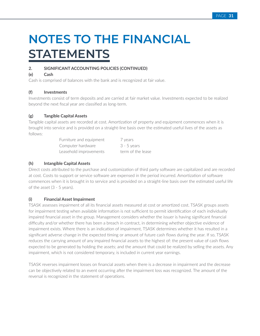### **2. SIGNIFICANT ACCOUNTING POLICIES (CONTINUED)**

### **(e) Cash**

Cash is comprised of balances with the bank and is recognized at fair value.

### **(f) Investments**

Investments consist of term deposits and are carried at fair market value. Investments expected to be realized beyond the next fiscal year are classified as long-term.

### **(g) Tangible Capital Assets**

Tangible capital assets are recorded at cost. Amortization of property and equipment commences when it is brought into service and is provided on a straight-line basis over the estimated useful lives of the assets as follows:

| Furniture and equipment | 7 years           |
|-------------------------|-------------------|
| Computer hardware       | $3 - 5$ years     |
| Leasehold improvements  | term of the lease |

### **(h) Intangible Capital Assets**

Direct costs attributed to the purchase and customization of third party software are capitalized and are recorded at cost. Costs to support or service software are expensed in the period incurred. Amortization of software commences when it is brought in to service and is provided on a straight-line basis over the estimated useful life of the asset (3 - 5 years).

### **(i) Financial Asset Impairment**

TSASK assesses impairment of all its financial assets measured at cost or amortized cost. TSASK groups assets for impairment testing when available information is not sufficient to permit identification of each individually impaired financial asset in the group. Management considers whether the issuer is having significant financial difficulty and/or whether there has been a breach in contract, in determining whether objective evidence of impairment exists. Where there is an indication of impairment, TSASK determines whether it has resulted in a significant adverse change in the expected timing or amount of future cash flows during the year. If so, TSASK reduces the carrying amount of any impaired financial assets to the highest of: the present value of cash flows expected to be generated by holding the assets; and the amount that could be realized by selling the assets. Any impairment, which is not considered temporary, is included in current year earnings.

TSASK reverses impairment losses on financial assets when there is a decrease in impairment and the decrease can be objectively related to an event occurring after the impairment loss was recognized. The amount of the reversal is recognized in the statement of operations.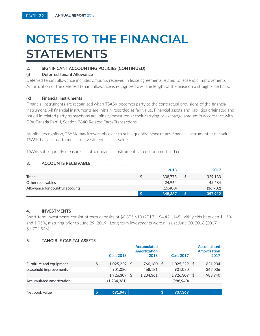### **2. SIGNIFICANT ACCOUNTING POLICIES (CONTINUED)**

### **(j) Deferred Tenant Allowance**

Deferred tenant allowance includes amounts received in lease agreements related to leasehold improvements. Amortization of the deferred tenant allowance is recognized over the length of the lease on a straight-line basis.

### **(k) Financial Instruments**

Financial instruments are recognized when TSASK becomes party to the contractual provisions of the financial instrument. All financial instruments are initially recorded at fair value. Financial assets and liabilities originated and issued in related party transactions are initially measured at their carrying or exchange amount in accordance with CPA Canada Part II, Section 3840 Related Party Transactions.

At initial recognition, TSASK may irrevocably elect to subsequently measure any financial instrument at fair value. TSASK has elected to measure investments at fair value.

TSASK subsequently measures all other financial instruments at cost or amortized cost.

### **3. ACCOUNTS RECEIVABLE**

|                                 | 2018     | 2017     |
|---------------------------------|----------|----------|
| Trade                           | 338,773  | 329,130  |
| Other receivables               | 24.964   | 45,484   |
| Allowance for doubtful accounts | (15,400) | (16,702) |
|                                 | 348,337  | 357,912  |

### **4. INVESTMENTS**

Short-term investments consist of term deposits of \$6,805,618 (2017 – \$4,421,148) with yields between 1.15% and 1.95%, maturing prior to June 29, 2019. Long-term investments were nil as at June 30, 2018 (2017 - \$1,702,546)

### **5. TANGIBLE CAPITAL ASSETS**

|                          | <b>Cost 2018</b>     | <b>Accumulated</b><br>Amortization<br>2018 | <b>Cost 2017</b> |     | <b>Accumulated</b><br><b>Amortization</b><br>2017 |
|--------------------------|----------------------|--------------------------------------------|------------------|-----|---------------------------------------------------|
| Furniture and equipment  | \$<br>$1,025,229$ \$ | 766,180 \$                                 | 1,025,229        | -\$ | 621,934                                           |
| Leasehold improvements   | 901.080              | 468.181                                    | 901.080          |     | 367,006                                           |
|                          | 1,926,309            | \$<br>1,234,361                            | 1,926,309        | \$  | 988,940                                           |
| Accumulated amortization | (1,234,361)          |                                            | (988, 940)       |     |                                                   |
| Net book value           | 691.948              |                                            | 937.369          |     |                                                   |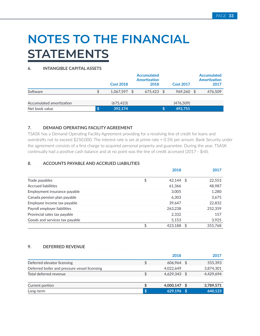### **6. INTANGIBLE CAPITAL ASSETS**

|                          | <b>Cost 2018</b> | <b>Accumulated</b><br>Amortization<br>2018 | <b>Cost 2017</b> | <b>Accumulated</b><br><b>Amortization</b><br>2017 |
|--------------------------|------------------|--------------------------------------------|------------------|---------------------------------------------------|
| Software                 | $1,067,597$ \$   | $675,423$ \$                               | $969,260$ \$     | 476,509                                           |
| Accumulated amortization | (675, 423)       |                                            | (476, 509)       |                                                   |
| Net book value           | 392,174          |                                            | 492.751          |                                                   |

### **7. DEMAND OPERATING FACILITY AGREEMENT**

TSASK has a Demand Operating Facility Agreement providing for a revolving line of credit for loans and overdrafts not to exceed \$250,000. The interest rate is set at prime rate + 0.5% per annum. Bank Security under the agreement consists of a first charge to acquired personal property and guarantee. During the year, TSASK continually had a positive cash balance and at no point was the line of credit accessed (2017 - \$nil).

### **8. ACCOUNTS PAYABLE AND ACCRUED LIABILITIES**

|                                | 2018        | 2017    |
|--------------------------------|-------------|---------|
| Trade payables                 | $42.144$ \$ | 22.553  |
| Accrued liabilities            | 61.366      | 48,987  |
| Employment insurance payable   | 3.005       | 1.280   |
| Canada pension plan payable    | 6.303       | 3.675   |
| Employee income tax payable    | 39.647      | 22,832  |
| Payroll employer liabilities   | 263.238     | 252.359 |
| Provincial sales tax payable   | 2.332       | 157     |
| Goods and services tax payable | 5.153       | 3,925   |
|                                | 423,188     | 355,768 |

### **9. DEFERRED REVENUE**

|                                               | 2018         | 2017      |
|-----------------------------------------------|--------------|-----------|
| Deferred elevator licensing                   | 606.964      | 555.393   |
| Deferred boiler and pressure vessel licensing | 4,022,649    | 3,874,301 |
| Total deferred revenue                        | 4.629.343 \$ | 4.429.694 |
|                                               |              |           |
| Current portion                               | 4,000,147    | 3,789,571 |
| Long-term                                     | 629,196 \$   | 640,123   |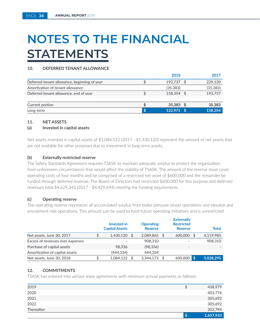### **10. DEFERRED TENANT ALLOWANCE**

|                                              | 2018        | 2017      |
|----------------------------------------------|-------------|-----------|
| Deferred tenant allowance, beginning of year | 193.737 \$  | 229,120   |
| Amortization of tenant allowance             | (35, 383)   | (35, 383) |
| Deferred tenant allowance, end of year       | 158,354 \$  | 193,737   |
|                                              |             |           |
| Current portion                              | $35,383$ \$ | 35,383    |
| Long-term                                    | 122.971 \$  | 158,354   |

### **11. NET ASSETS**

### **(a) Invested in capital assets**

Net assets invested in capital assets of \$1,084,122 (2017 - \$1,430,120) represent the amount of net assets that are not available for other purposes due to investment in long-term assets.

### **(b) Externally restricted reserve**

The Safety Standards Agreement requires TSASK to maintain adequate surplus to protect the organization from unforeseen circumstances that would affect the viability of TSASK. The amount of the reserve must cover operating costs of four months and be comprised of a restricted net asset of \$600,000 and the remainder be funded through deferred revenue. The Board of Directors had restricted \$600,000 for this purpose and deferred revenues total \$4,629,343 (2017 - \$4,429,694) meeting the funding requirements.

### **(c) Operating reserve**

The operating reserve represents all accumulated surplus from boiler pressure vessel operations and elevator and amusement ride operations. This amount can be used to fund future operating initiatives and is unrestricted.

|                                  | Invested in<br><b>Capital Assets</b> | <b>Operating</b><br><b>Reserve</b> | <b>Externally</b><br><b>Restricted</b><br><b>Reserve</b> | <b>Total</b> |
|----------------------------------|--------------------------------------|------------------------------------|----------------------------------------------------------|--------------|
| Net assets, June 30, 2017        | 1,430,120 \$                         | 2,089,865 \$                       | 600,000                                                  | 4,119,985    |
| Excess of revenues over expenses |                                      | 908.310                            |                                                          | 908.310      |
| Purchase of capital assets       | 98,336                               | (98, 336)                          | $\overline{\phantom{0}}$                                 |              |
| Amortization of capital assets   | (444.334)                            | 444.334                            |                                                          |              |
| Net assets, June 30, 2018        | 1.084.122                            | 3.344.173                          | 600,000                                                  | 5,028,295    |

### **12. COMMITMENTS**

TSASK has entered into various lease agreements with minimum annual payments as follows:

| 2019       |         |
|------------|---------|
| 2020       | 76      |
| 2021       | 305.692 |
| 2022       | 305 692 |
| Thereafter | 203.794 |
|            | 233     |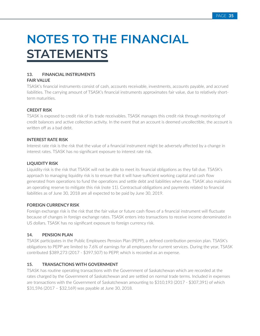### **13. FINANCIAL INSTRUMENTS**

### **FAIR VALUE**

TSASK's financial instruments consist of cash, accounts receivable, investments, accounts payable, and accrued liabilities. The carrying amount of TSASK's financial instruments approximates fair value, due to relatively shortterm maturities.

### **CREDIT RISK**

TSASK is exposed to credit risk of its trade receivables. TSASK manages this credit risk through monitoring of credit balances and active collection activity. In the event that an account is deemed uncollectible, the account is written off as a bad debt.

### **INTEREST RATE RISK**

Interest rate risk is the risk that the value of a financial instrument might be adversely affected by a change in interest rates. TSASK has no significant exposure to interest rate risk.

### **LIQUIDITY RISK**

Liquidity risk is the risk that TSASK will not be able to meet its financial obligations as they fall due. TSASK's approach to managing liquidity risk is to ensure that it will have sufficient working capital and cash flow generated from operations to fund the operations and settle debt and liabilities when due. TSASK also maintains an operating reserve to mitigate this risk (note 11). Contractual obligations and payments related to financial liabilities as of June 30, 2018 are all expected to be paid by June 30, 2019.

### **FOREIGN CURRENCY RISK**

Foreign exchange risk is the risk that the fair value or future cash flows of a financial instrument will fluctuate because of changes in foreign exchange rates. TSASK enters into transactions to receive income denominated in US dollars. TSASK has no significant exposure to foreign currency risk.

### **14. PENSION PLAN**

TSASK participates in the Public Employees Pension Plan (PEPP), a defined contribution pension plan. TSASK's obligations to PEPP are limited to 7.6% of earnings for all employees for current services. During the year, TSASK contributed \$389,273 (2017 - \$397,507) to PEPP, which is recorded as an expense.

### **15. TRANSACTIONS WITH GOVERNMENT**

TSASK has routine operating transactions with the Government of Saskatchewan which are recorded at the rates charged by the Government of Saskatchewan and are settled on normal trade terms. Included in expenses are transactions with the Government of Saskatchewan amounting to \$310,193 (2017 - \$307,391) of which \$31,596 (2017 – \$32,169) was payable at June 30, 2018.